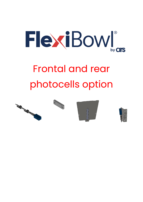

# Frontal and rear photocells option



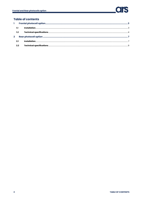# **Table of contents**

| $\mathbf{2}$ |              |  |
|--------------|--------------|--|
|              | Installation |  |
|              |              |  |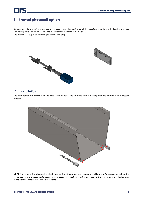# <span id="page-2-0"></span>**1 Frontal photocell option**

ĺ

Its function is to check the presence of components in the front area of the vibrating tank during the feeding process. Control is provided by a photocell and a reflector at the front of the hopper. The photocell is supplied with a 4-pole cable 5M long.



# <span id="page-2-1"></span>**1.1 Installation**

The light barrier system must be installed in the outlet of the vibrating tank in correspondence with the two processes present.



**NOTE**: The fixing of the photocell and reflector on the structure is not the responsibility of Ars Automation, it will be the responsibility of the customer to design a fixing system compatible with the operation of the system and with the features of the components shown in the datasheets.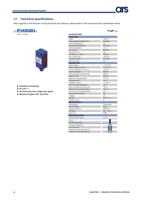×.

# <span id="page-3-0"></span>**1.2 Technical specifications**

With regards to the features of the photocell and reflector, please refer to the manufacturer's datasheets below



- Condition monitoring
- $\bullet$  IO-Link 1.1
- . No blind spot from single-lens optics
- Special for glass, PET and films

|                                       | PNG /Smart            |
|---------------------------------------|-----------------------|
| <b>Technical Data</b>                 |                       |
| <b>Optical Data</b>                   |                       |
| Range                                 | 1500 mm               |
| Reference Reflector/Reflector Foil    | RQ100BA               |
| Clear Glass Recognition               | yes                   |
| Smallest Recognizable Part            | see Table 2           |
| <b>Switching Hysteresis</b>           | $-5%$                 |
| <b>Light Source</b>                   | <b>Red Light</b>      |
| <b>Polarization Filter</b>            | yes                   |
| Service Life (T = +25 °C)             | 100000 h              |
| Max. Ambient Light                    | 10000 Lux             |
| <b>Light Spot Diameter</b>            | see Table 1           |
| Single-Lens Optic                     | yes                   |
| <b>Electrical Data</b>                |                       |
| Supply Voltage                        | 1030 V DC             |
| Supply Voltage with IO-Link           | 1830 V DC             |
| Current Consumption (Ub = 24 V)       | < 20 mA               |
| <b>Switching Frequency</b>            | 2000 Hz               |
| Switching frequency (speed mode)      | 3500 Hz               |
| Response Time                         | $0.25$ ms             |
| Response time (speed mode)            | $0.14$ ms             |
| <b>Temperature Drift</b>              | $-5%$                 |
| <b>Temperature Range</b>              | $-4060 °C$            |
| Switching Output Voltage Drop         | 2V                    |
| Switching Output/Switching Current    | 100 mA                |
| Residual Current Switching Output     | $< 50 \mu$ A          |
| Short Circuit and Overload Protection | yes                   |
| <b>Reverse Polarity Protection</b>    | yes                   |
| Lockable                              | yes                   |
| Interface                             | IO-Link V1.1          |
| <b>Protection Class</b>               | Ш                     |
| <b>Mechanical Data</b>                |                       |
| <b>Setting Method</b>                 | Potentiometer         |
| <b>Housing Material</b>               | Plastic               |
| Degree of Protection                  | <b>IP67/IP68</b>      |
| Connection                            | $M8 \times 1$ ; 4-pin |
| Optic Cover                           | <b>PMMA</b>           |
| Safety-relevant Data                  |                       |
| MTTFd (EN ISO 13849-1)                | 2414 a                |
| <b>IO-Link</b>                        |                       |
| <b>PNP NO/NC antivalent</b>           |                       |
|                                       |                       |
| Connection Diagram No.                | 215                   |
| Control Panel No.                     | <b>1K1</b>            |
| Suitable Connection Equipment No.     | 400                   |
| Suitable Mounting Technology No.      |                       |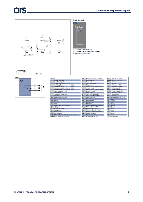# **ars**



I.



05 - Switching Distance Adjuster 09 - Switching Blassick Adjuster<br>30 - Switching Status/Contamination Warning<br>68 - Supply Voltage Indicator



| legend.    |                                                   |      | PT         | Platinum measuring resistor    |                  | ENMAN Encoder A/A (TTL)              |
|------------|---------------------------------------------------|------|------------|--------------------------------|------------------|--------------------------------------|
| ÷          | Supply Voltage +                                  |      | nc.        | not connected                  | <b>ENsure</b>    | Encoder B/B (TTL)                    |
| -          | Supply Voltage 0 V                                |      |            | Test Input                     | ENA              | Encoder A                            |
| ٠          | Supply Voltage (AC Voltage)                       |      | ū          | Test Input inverted            | ENa              | <b>Encoder B</b>                     |
| A,         | Switching Output                                  | (NO) | W          | <b>Trigger Input</b>           | Ами              | Digital output MIN                   |
| Ā,         | <b>Switching Output</b>                           | (NC) | $W -$      | Ground for the Trigger Input   | Амю              | Digital output MAX                   |
| v          | Contamination/Error Output                        | (NO) | o          | Analog Output                  | Apr.             | Digital output OK                    |
| o          | Contamination/Error Output                        | (NC) | $0 -$      | Ground for the Analog Output   | SY <sub>In</sub> | Synchronization In                   |
|            | Input (analog or digital)                         |      | RZ         | <b>Block Discharge</b>         | SY DUT           | Synchronization OUT                  |
|            | Teach Input                                       |      | AMV        | <b>Valve Output</b>            | Out              | Brightness output                    |
|            | Time Delay (activation)                           |      |            | Valve Control Output +         | м                | Maintenance                          |
| s.         | Shielding                                         |      | n          | Valve Control Output 0 V       | 759              | reserved                             |
| RxD        | Interface Receive Path                            |      | 8Y         | Synchronization                |                  | Wire Colors according to DIN IEC 757 |
| <b>TxD</b> | Interface Send Path                               |      | $SY-$      | Ground for the Synchronization | <b>BK</b>        | <b>Black</b>                         |
| RDY        | Ready                                             |      | E+         | Receiver.Line                  | BN               | <b>Brown</b>                         |
| <b>GND</b> | Ground                                            |      | $8+$       | Emitter-Line                   | <b>RD</b>        | Red                                  |
| α          | Clock                                             |      |            | Grounding                      | O <sub>G</sub>   | Orange                               |
| EIA.       | Output/Input programmable                         |      | SvR        | Switching Distance Reduction   | YE               | Yellow                               |
| $\bullet$  | IO-Link                                           |      |            | Rx+/- Ethernet Receive Path    | GM               | Green                                |
| PoE        | Power over Ethernet                               |      |            | Tx+/- Ethernet Send Path       | BU               | Blue                                 |
| IN.        | Safety Input                                      |      | Bи         | Interfaces-Bus A(+)/B(-)       | VT               | Violet                               |
| OSSD-      | Safety Output                                     |      | La         | Emitted Light disengageable    | GV.              | Grey                                 |
|            | Signal Signal Output                              |      | Mag        | Magnet activation              | <b>WH</b>        | White                                |
|            | BLD+/- Ethernet Gigabit bidirect, data line (A-D) |      | <b>RES</b> | Input confirmation             | PK.              | Pink                                 |
|            | News Encoder 0-pulse 0-0 (TTL)                    |      | EDM        | Contactor Monitoring           | <b>GNYE</b>      | Green/Yellow                         |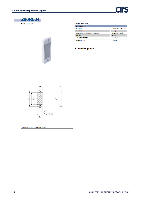

×



### **Technical Data**

| <b>Mechanical Data</b>                 |                             |  |  |  |  |  |
|----------------------------------------|-----------------------------|--|--|--|--|--|
| Structure                              | <b>Continuous Structure</b> |  |  |  |  |  |
| <b>Mounting Type</b>                   | <b>Fixing Holes</b>         |  |  |  |  |  |
| Orientation with respect to the sensor | horizontal; vertical        |  |  |  |  |  |
| Material                               | Plastic                     |  |  |  |  |  |
| <b>Temperature Range</b>               | $-40.65 °C$                 |  |  |  |  |  |
| Packaging unit                         | 1 Piece                     |  |  |  |  |  |

• With fixing holes

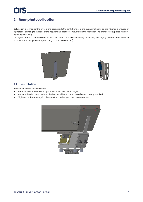# <span id="page-6-0"></span>**2 Rear photocell option**

ĺ

Its function is to monitor the level of the parts inside the tank. Control of the quantity of parts on the vibrator is ensured by a photocell pointing to the rear of the hopper and a reflector mounted in the rear door. The photocell is supplied with a 4 pole cable 5M long.

The signal from the photocell can be used for various purposes including, requesting recharging of components on it by an operator or an upstream system (e.g. a motorised hopper).





# <span id="page-6-1"></span>**2.1 Installation**

Proceed as follows for installation:

- Remove the 4 screws securing the rear tank door to the hinges.
- Replace the door supplied with the hopper with the one with a reflector already installed.
- Tighten the 4 screws again, checking that the hopper door closes properly.

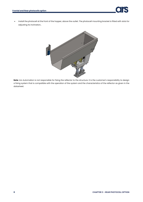• Install the photocell at the front of the hopper, above the outlet. The photocell mounting bracket is fitted with slots for adjusting its inclination.



**Note**: Ars Automation is not responsible for fixing the reflector to the structure. It is the customer's responsibility to design a fixing system that is compatible with the operation of the system and the characteristics of the reflector as given in the datasheet.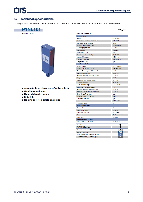FING /Smart

# <span id="page-8-0"></span>**2.2 Technical specifications**

With regards to the features of the photocell and reflector, please refer to the manufacturer's datasheets below





- Also suitable for glossy and reflective objects
- Condition monitoring
- High switching frequency
- $\bullet$  IO-Link 1.1
- . No blind spot from single-lens optics

| <b>Technical Data</b>              |                        |
|------------------------------------|------------------------|
| <b>Optical Data</b>                |                        |
| Range                              | 7000 mm                |
| Reference Reflector/Reflector Foil | <b>RO100BA</b>         |
| Min. Distance to Reflector         | 0 <sub>mm</sub>        |
| Smallest Recognizable Part         | see Table 2            |
| <b>Switching Hysteresis</b>        | < 15%                  |
| <b>Light Source</b>                | <b>Red Light</b>       |
| <b>Polarization Filter</b>         | <b>Ves</b>             |
| Service Life (T = +25 °C)          | 100000 h               |
| Max. Ambient Light                 | 10000 Lux              |
| <b>Light Spot Diameter</b>         | see Table 1            |
| Single-Lens Optic                  | yes                    |
| <b>Electrical Data</b>             |                        |
| <b>Supply Voltage</b>              | 1030 V DC              |
| Supply Voltage with IO-Link        | 1830 V DC              |
| Current Consumption (Ub - 24 V)    | $< 20$ mA              |
| <b>Switching Frequency</b>         | 2000 Hz                |
| Switching frequency (speed mode)   | 3500 Hz                |
| Response Time                      | $0.25$ ms              |
| Response time (speed mode)         | $0.14$ ms              |
| <b>Temperature Drift</b>           | $< 10 \%$              |
| <b>Temperature Range</b>           | $-4060 °C$             |
| Switching Output Voltage Drop      | < 2V                   |
| Switching Output/Switching Current | 100 mA                 |
| Residual Current Switching Output  | $< 50 \mu A$           |
| <b>Short Circuit Protection</b>    | yes                    |
| <b>Reverse Polarity Protection</b> | yes                    |
| Overload Protection                | ves                    |
| Interface                          | IO-Link V1.1           |
| <b>Protection Class</b>            | Ш                      |
| <b>Mechanical Data</b>             |                        |
| <b>Setting Method</b>              | Potentiometer          |
| <b>Housing Material</b>            | <b>Plastic</b>         |
| Degree of Protection               | IP67/IP68              |
| Connection                         | $M12 \times 1$ ; 4-pin |
| <b>Optic Cover</b>                 | <b>PMMA</b>            |
| <b>Safety-relevant Data</b>        |                        |
| MTTFd (EN ISO 13849-1)             | 2690,44 a              |
| <b>IO-Link</b>                     |                        |
| PNP NO/NC antivalent               |                        |
| Connection Diagram No.             | 215                    |
| Control Panel No.                  | A <sub>28</sub>        |
| Suitable Connection Equipment No.  | 2                      |
| Suitable Mounting Technology No.   | 350                    |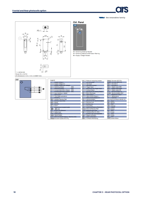5









| Legend      |                                                    |      | PT         | Platinum measuring resistor    |                       | ENAssas Encoder A/A (TTL)            |
|-------------|----------------------------------------------------|------|------------|--------------------------------|-----------------------|--------------------------------------|
|             | Supply Voltage +                                   |      | nc.        | not connected                  |                       | ENISSUE Encoder B/B (TTL)            |
|             | Supply Voltage 0 V                                 |      |            | <b>Test Input</b>              | <b>ENA</b>            | Encoder A                            |
|             | Supply Voltage (AC Voltage)                        |      | π          | Test Input inverted            | <b>EN<sub>B</sub></b> | Encoder B                            |
| Α           | Switching Output                                   | (NO) | w          | Trigger Input                  | Auru                  | Digital output MIN                   |
| Ā           | Switching Output                                   | (NC) | $W -$      | Ground for the Trigger Input   | Auzx                  | Digital output MAX                   |
| ٧           | Contamination/Error Output                         | (NO) | Ō          | Analog Output                  | Ape                   | Digital output OK                    |
| v           | Contamination/Error Output                         | (NC) | $\Omega -$ | Ground for the Analog Output   | SY <sub>h</sub>       | Synchronization In                   |
|             | Input (analog or digital)                          |      | <b>BZ</b>  | Block Discharge                |                       | SY GUT Synchronization OUT           |
|             | <b>Teach Input</b>                                 |      | AMV        | Valve Output                   | <b>Out</b>            | <b>Brightness output</b>             |
|             | Time Delay (activation)                            |      |            | Valve Control Output +         | M                     | Maintenance                          |
| s           | Shielding                                          |      | ь          | Valve Control Output 0 V       | rsy                   | reserved                             |
| RxD         | Interface Receive Path                             |      | <b>SY</b>  | Synchronization                |                       | Wire Colors according to DIN IEC 757 |
| <b>TxD</b>  | Interface Send Path                                |      | $SY -$     | Ground for the Synchronization | BK                    | Black                                |
| <b>RDY</b>  | Ready                                              |      | $E+$       | Receiver-Line                  | BN                    | Brown                                |
| <b>GND</b>  | Ground                                             |      | $8+$       | <b>Emitter-Line</b>            | <b>RD</b>             | Red                                  |
| CL.         | Clock                                              |      |            | Grounding                      | OG                    | Orange                               |
| E/A         | Output/Input programmable                          |      | SnR        | Switching Distance Reduction   | YE                    | Yellow                               |
| $\bullet$   | IO-Link                                            |      |            | Rx+/- Ethernet Receive Path    | GN                    | Green                                |
| <b>PoE</b>  | Power over Ethernet                                |      |            | Tx+/- Ethernet Send Path       | BU                    | Blue                                 |
| IN          | Safety Input                                       |      | Bus        | Interfaces-Bus A(+)/B(-)       | VT                    | Violet                               |
| <b>OSSD</b> | Safety Output                                      |      | La         | Emitted Light disengageable    | GY                    | Grey                                 |
| Signal      | Signal Output                                      |      | Mag        | Magnet activation              | WH                    | White                                |
|             | BI_D+/- Ethernet Gigabit bidirect. data line (A-D) |      | <b>RES</b> | Input confirmation             | <b>PK</b>             | <b>Pink</b>                          |
|             | ENessa Encoder 0-pulse 0-0 (TTL)                   |      | EDM        | Contactor Monitoring           | <b>GNYE</b>           | Green/Yellow                         |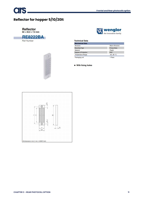# **Reflector for hopper 5/10/20lt**



Part Number

**CIS** 





#### **Technical Data**

| <b>Mechanical Data</b>   |                     |
|--------------------------|---------------------|
| Structure                | Macro Structure     |
| <b>Mounting Type</b>     | <b>Fixing Holes</b> |
| Material                 | Plastic             |
| Degree of Protection     | <b>IP67</b>         |
| <b>Temperature Range</b> | $-20.60 °C$         |
| Packaging unit           | 1 Piece             |

• With fixing holes

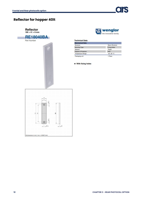# **Reflector for hopper 40It**





#### **Technical Data**

| <b>Mechanical Data</b>   |                     |
|--------------------------|---------------------|
| Structure                | Macro Structure     |
| <b>Mounting Type</b>     | <b>Fixing Holes</b> |
| Material                 | Plastic             |
| Degree of Protection     | <b>IP67</b>         |
| <b>Temperature Range</b> | $-2060 °C$          |
| Packaging unit           | 1 Piece             |

#### • With fixing holes